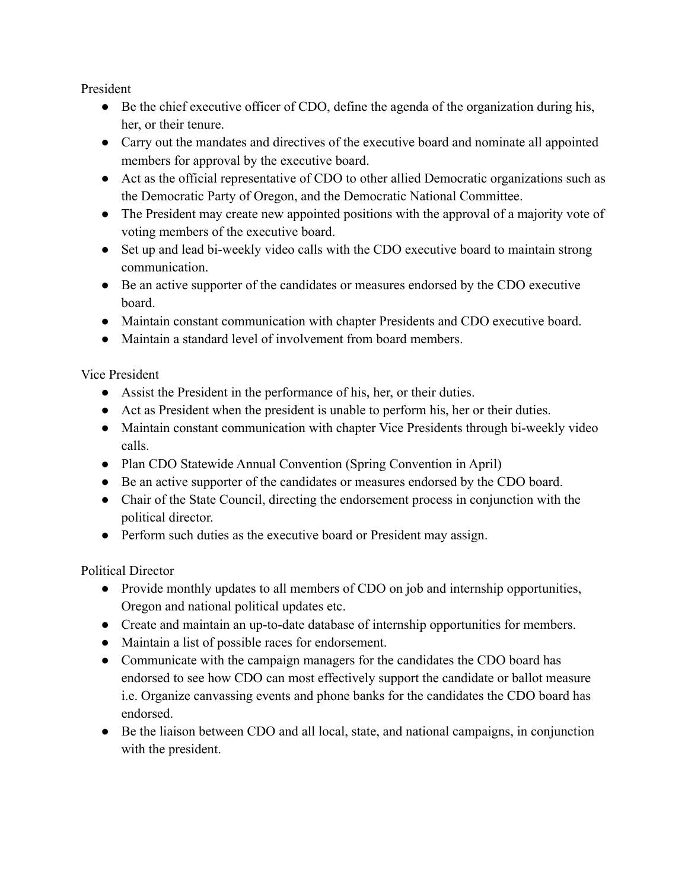President

- Be the chief executive officer of CDO, define the agenda of the organization during his, her, or their tenure.
- Carry out the mandates and directives of the executive board and nominate all appointed members for approval by the executive board.
- Act as the official representative of CDO to other allied Democratic organizations such as the Democratic Party of Oregon, and the Democratic National Committee.
- The President may create new appointed positions with the approval of a majority vote of voting members of the executive board.
- Set up and lead bi-weekly video calls with the CDO executive board to maintain strong communication.
- Be an active supporter of the candidates or measures endorsed by the CDO executive board.
- Maintain constant communication with chapter Presidents and CDO executive board.
- Maintain a standard level of involvement from board members.

Vice President

- Assist the President in the performance of his, her, or their duties.
- Act as President when the president is unable to perform his, her or their duties.
- Maintain constant communication with chapter Vice Presidents through bi-weekly video calls.
- Plan CDO Statewide Annual Convention (Spring Convention in April)
- Be an active supporter of the candidates or measures endorsed by the CDO board.
- Chair of the State Council, directing the endorsement process in conjunction with the political director.
- Perform such duties as the executive board or President may assign.

Political Director

- Provide monthly updates to all members of CDO on job and internship opportunities, Oregon and national political updates etc.
- Create and maintain an up-to-date database of internship opportunities for members.
- Maintain a list of possible races for endorsement.
- Communicate with the campaign managers for the candidates the CDO board has endorsed to see how CDO can most effectively support the candidate or ballot measure i.e. Organize canvassing events and phone banks for the candidates the CDO board has endorsed.
- Be the liaison between CDO and all local, state, and national campaigns, in conjunction with the president.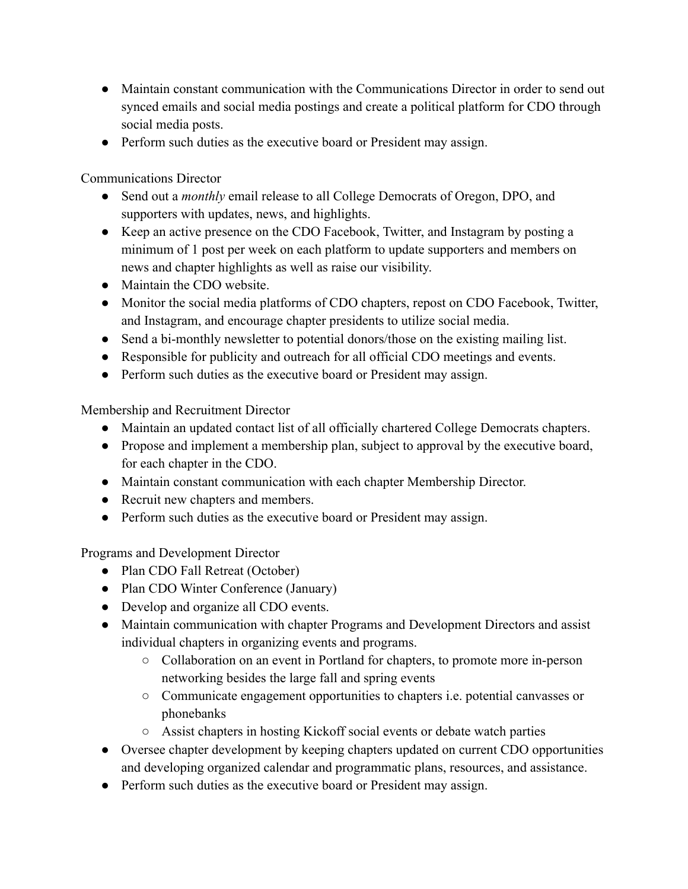- Maintain constant communication with the Communications Director in order to send out synced emails and social media postings and create a political platform for CDO through social media posts.
- Perform such duties as the executive board or President may assign.

Communications Director

- Send out a *monthly* email release to all College Democrats of Oregon, DPO, and supporters with updates, news, and highlights.
- Keep an active presence on the CDO Facebook, Twitter, and Instagram by posting a minimum of 1 post per week on each platform to update supporters and members on news and chapter highlights as well as raise our visibility.
- Maintain the CDO website.
- Monitor the social media platforms of CDO chapters, repost on CDO Facebook, Twitter, and Instagram, and encourage chapter presidents to utilize social media.
- Send a bi-monthly newsletter to potential donors/those on the existing mailing list.
- Responsible for publicity and outreach for all official CDO meetings and events.
- Perform such duties as the executive board or President may assign.

Membership and Recruitment Director

- Maintain an updated contact list of all officially chartered College Democrats chapters.
- Propose and implement a membership plan, subject to approval by the executive board, for each chapter in the CDO.
- Maintain constant communication with each chapter Membership Director.
- Recruit new chapters and members.
- Perform such duties as the executive board or President may assign.

Programs and Development Director

- Plan CDO Fall Retreat (October)
- Plan CDO Winter Conference (January)
- Develop and organize all CDO events.
- Maintain communication with chapter Programs and Development Directors and assist individual chapters in organizing events and programs.
	- Collaboration on an event in Portland for chapters, to promote more in-person networking besides the large fall and spring events
	- Communicate engagement opportunities to chapters i.e. potential canvasses or phonebanks
	- Assist chapters in hosting Kickoff social events or debate watch parties
- Oversee chapter development by keeping chapters updated on current CDO opportunities and developing organized calendar and programmatic plans, resources, and assistance.
- Perform such duties as the executive board or President may assign.